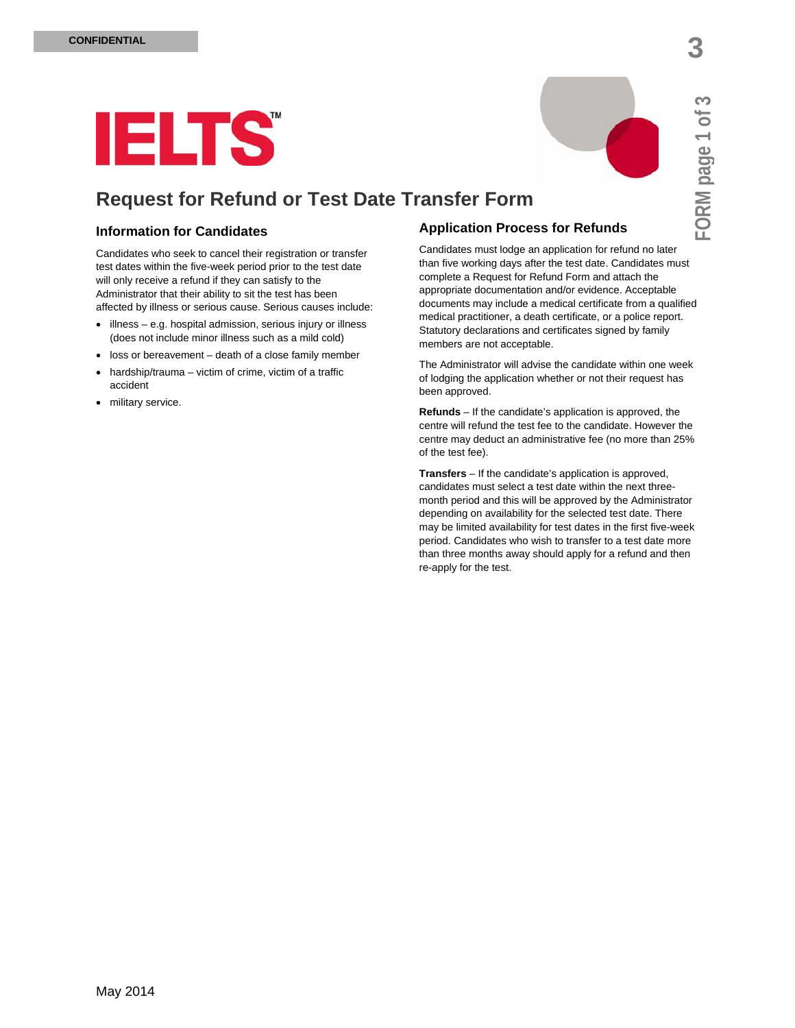**FORM p**

**a**

**ge 1 of 3**

# **IELTS**

## **Request for Refund or Test Date Transfer Form**

## **Information for Candidates**

Candidates who seek to cancel their registration or transfer test dates within the five-week period prior to the test date will only receive a refund if they can satisfy to the Administrator that their ability to sit the test has been affected by illness or serious cause. Serious causes include:

- illness e.g. hospital admission, serious injury or illness (does not include minor illness such as a mild cold)
- loss or bereavement death of a close family member
- hardship/trauma victim of crime, victim of a traffic accident
- military service.

## **Application Process for Refunds**

Candidates must lodge an application for refund no later than five working days after the test date. Candidates must complete a Request for Refund Form and attach the appropriate documentation and/or evidence. Acceptable documents may include a medical certificate from a qualified medical practitioner, a death certificate, or a police report. Statutory declarations and certificates signed by family members are not acceptable.

The Administrator will advise the candidate within one week of lodging the application whether or not their request has been approved.

**Refunds** – If the candidate's application is approved, the centre will refund the test fee to the candidate. However the centre may deduct an administrative fee (no more than 25% of the test fee).

**Transfers** – If the candidate's application is approved, candidates must select a test date within the next threemonth period and this will be approved by the Administrator depending on availability for the selected test date. There may be limited availability for test dates in the first five-week period. Candidates who wish to transfer to a test date more than three months away should apply for a refund and then re-apply for the test.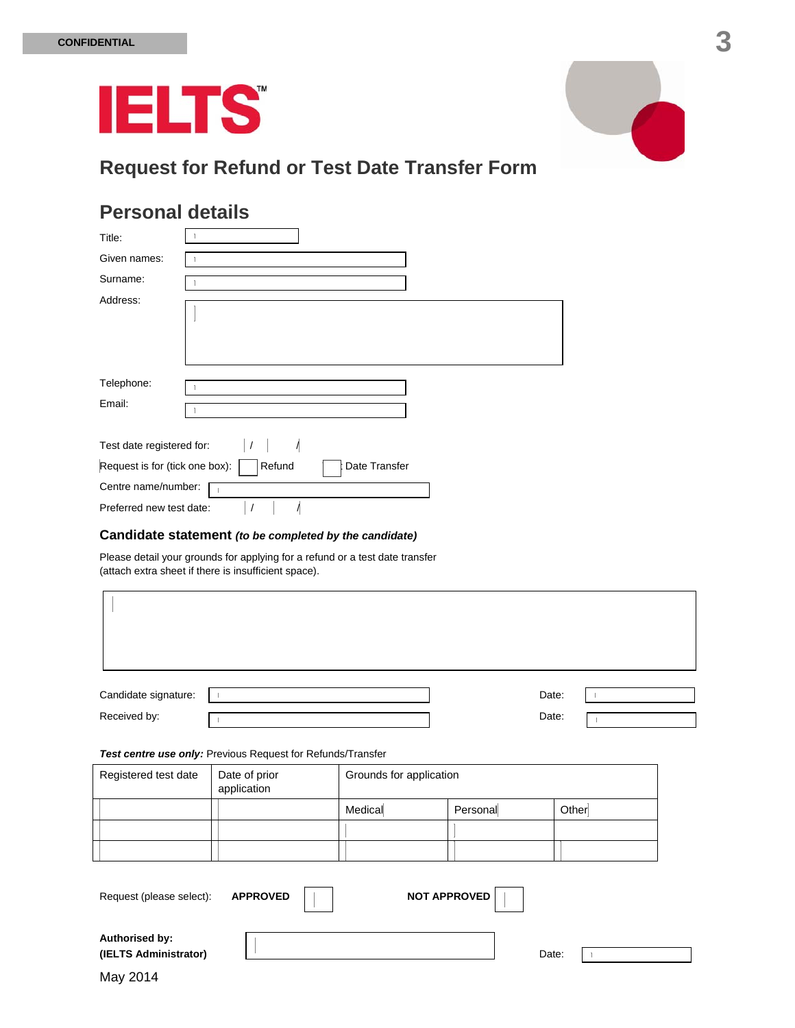

# **Request for Refund or Test Date Transfer Form**

## **Personal details**

| Title:                         |                         |
|--------------------------------|-------------------------|
| Given names:                   |                         |
| Surname:                       |                         |
| Address:                       |                         |
| Telephone:<br>Email:           |                         |
| Test date registered for:      | $\sqrt{ }$              |
| Request is for (tick one box): | Refund<br>Date Transfer |
| Centre name/number:            |                         |
| Preferred new test date:       |                         |

### **Candidate statement** *(to be completed by the candidate)*

Please detail your grounds for applying for a refund or a test date transfer (attach extra sheet if there is insufficient space).

| Candidate signature:                                               |                              |                         |          | Date:<br>$\overline{1}$ |  |  |  |
|--------------------------------------------------------------------|------------------------------|-------------------------|----------|-------------------------|--|--|--|
| Received by:                                                       |                              |                         |          | Date:                   |  |  |  |
| Test centre use only: Previous Request for Refunds/Transfer        |                              |                         |          |                         |  |  |  |
| Registered test date                                               | Date of prior<br>application | Grounds for application |          |                         |  |  |  |
|                                                                    |                              | Medical                 | Personal | Other                   |  |  |  |
|                                                                    |                              |                         |          |                         |  |  |  |
|                                                                    |                              |                         |          |                         |  |  |  |
| <b>NOT APPROVED</b><br><b>APPROVED</b><br>Request (please select): |                              |                         |          |                         |  |  |  |
| Authorised by:<br>(IELTS Administrator)                            |                              |                         |          | Date:                   |  |  |  |